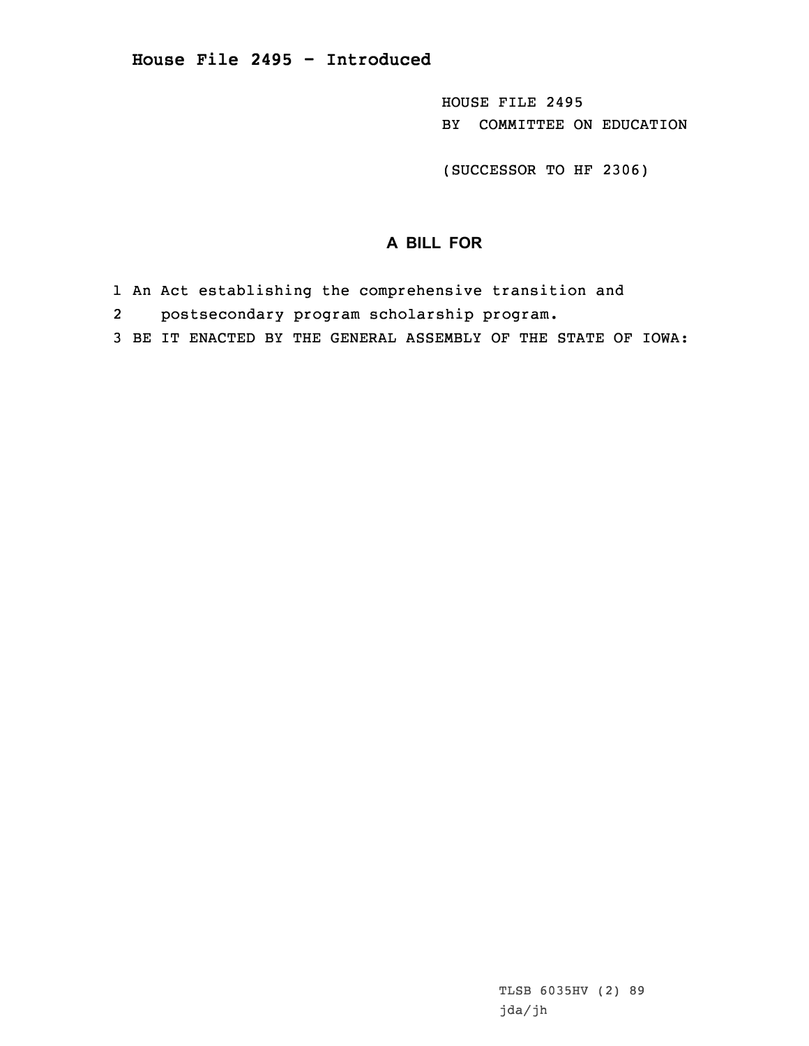HOUSE FILE 2495 BY COMMITTEE ON EDUCATION

(SUCCESSOR TO HF 2306)

## **A BILL FOR**

- 1 An Act establishing the comprehensive transition and
- 2postsecondary program scholarship program.
- 3 BE IT ENACTED BY THE GENERAL ASSEMBLY OF THE STATE OF IOWA: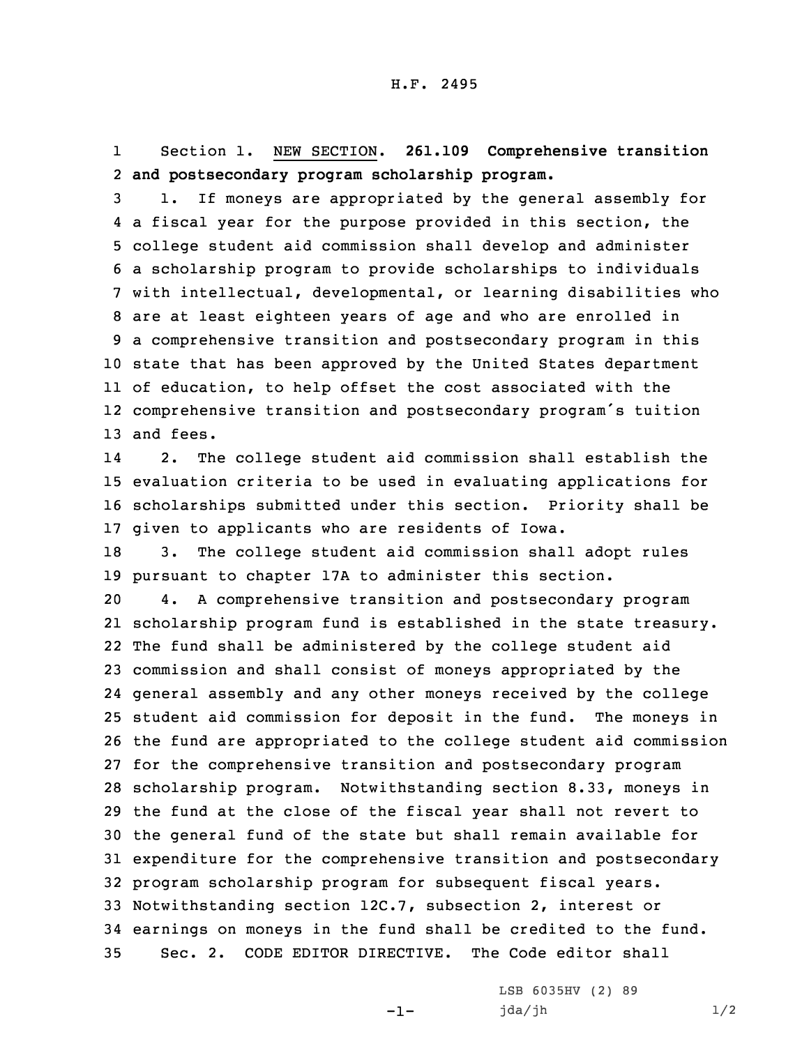1 Section 1. NEW SECTION. **261.109 Comprehensive transition** 2 **and postsecondary program scholarship program.**

 1. If moneys are appropriated by the general assembly for <sup>a</sup> fiscal year for the purpose provided in this section, the college student aid commission shall develop and administer <sup>a</sup> scholarship program to provide scholarships to individuals with intellectual, developmental, or learning disabilities who are at least eighteen years of age and who are enrolled in <sup>a</sup> comprehensive transition and postsecondary program in this state that has been approved by the United States department of education, to help offset the cost associated with the comprehensive transition and postsecondary program's tuition and fees.

14 2. The college student aid commission shall establish the 15 evaluation criteria to be used in evaluating applications for 16 scholarships submitted under this section. Priority shall be 17 given to applicants who are residents of Iowa.

18 3. The college student aid commission shall adopt rules 19 pursuant to chapter 17A to administer this section.

 4. <sup>A</sup> comprehensive transition and postsecondary program scholarship program fund is established in the state treasury. The fund shall be administered by the college student aid commission and shall consist of moneys appropriated by the general assembly and any other moneys received by the college student aid commission for deposit in the fund. The moneys in the fund are appropriated to the college student aid commission for the comprehensive transition and postsecondary program scholarship program. Notwithstanding section 8.33, moneys in the fund at the close of the fiscal year shall not revert to the general fund of the state but shall remain available for expenditure for the comprehensive transition and postsecondary program scholarship program for subsequent fiscal years. Notwithstanding section 12C.7, subsection 2, interest or earnings on moneys in the fund shall be credited to the fund. Sec. 2. CODE EDITOR DIRECTIVE. The Code editor shall

-1-

LSB 6035HV (2) 89 jda/jh 1/2